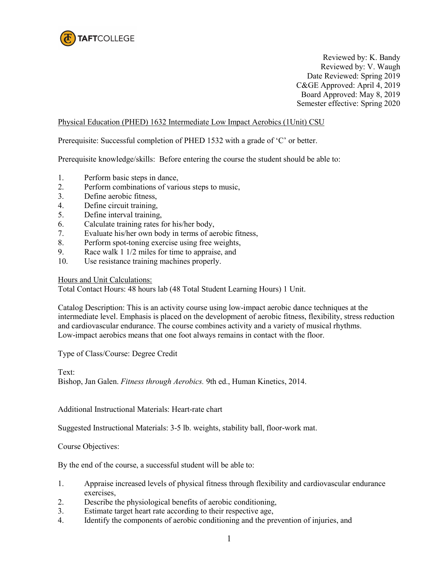

Reviewed by: K. Bandy Reviewed by: V. Waugh Date Reviewed: Spring 2019 C&GE Approved: April 4, 2019 Board Approved: May 8, 2019 Semester effective: Spring 2020

Physical Education (PHED) 1632 Intermediate Low Impact Aerobics (1Unit) CSU

Prerequisite: Successful completion of PHED 1532 with a grade of 'C' or better.

Prerequisite knowledge/skills: Before entering the course the student should be able to:

- 1. Perform basic steps in dance,
- 2. Perform combinations of various steps to music,
- 3. Define aerobic fitness,
- 4. Define circuit training,
- 5. Define interval training,
- 6. Calculate training rates for his/her body,
- 7. Evaluate his/her own body in terms of aerobic fitness,
- 8. Perform spot-toning exercise using free weights,
- 9. Race walk 1 1/2 miles for time to appraise, and
- 10. Use resistance training machines properly.

Hours and Unit Calculations:

Total Contact Hours: 48 hours lab (48 Total Student Learning Hours) 1 Unit.

Catalog Description: This is an activity course using low-impact aerobic dance techniques at the intermediate level. Emphasis is placed on the development of aerobic fitness, flexibility, stress reduction and cardiovascular endurance. The course combines activity and a variety of musical rhythms. Low-impact aerobics means that one foot always remains in contact with the floor.

Type of Class/Course: Degree Credit

Text:

Bishop, Jan Galen. *Fitness through Aerobics.* 9th ed., Human Kinetics, 2014.

Additional Instructional Materials: Heart-rate chart

Suggested Instructional Materials: 3-5 lb. weights, stability ball, floor-work mat.

Course Objectives:

By the end of the course, a successful student will be able to:

- 1. Appraise increased levels of physical fitness through flexibility and cardiovascular endurance exercises,
- 2. Describe the physiological benefits of aerobic conditioning,
- 3. Estimate target heart rate according to their respective age,
- 4. Identify the components of aerobic conditioning and the prevention of injuries, and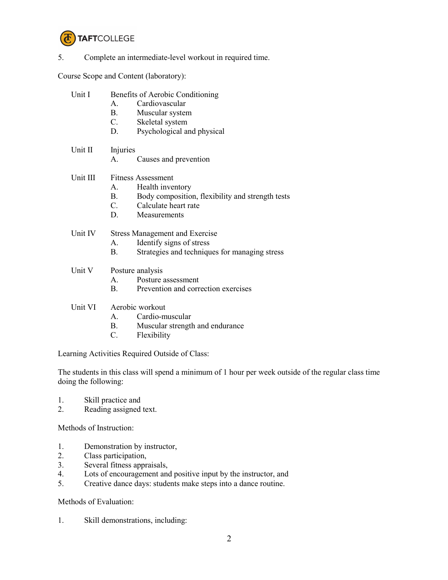

## 5. Complete an intermediate-level workout in required time.

Course Scope and Content (laboratory):

| Unit I   | Benefits of Aerobic Conditioning<br>Cardiovascular<br>$A_{-}$<br>$\mathbf{B}$ .<br>Muscular system<br>C. Skeletal system<br>D.<br>Psychological and physical          |
|----------|-----------------------------------------------------------------------------------------------------------------------------------------------------------------------|
| Unit II  | Injuries<br>Causes and prevention<br>А.                                                                                                                               |
| Unit III | <b>Fitness Assessment</b><br>Health inventory<br>A.<br>Body composition, flexibility and strength tests<br><b>B.</b><br>C. Calculate heart rate<br>D.<br>Measurements |
| Unit IV  | <b>Stress Management and Exercise</b><br>Identify signs of stress<br>А.<br>Strategies and techniques for managing stress<br>В.                                        |
| Unit V   | Posture analysis<br>Posture assessment<br>$\mathbf{A}$<br>Prevention and correction exercises<br>$\mathbf{B}$ .                                                       |
| Unit VI  | Aerobic workout<br>Cardio-muscular<br>A                                                                                                                               |

- B. Muscular strength and endurance
- C. Flexibility

Learning Activities Required Outside of Class:

The students in this class will spend a minimum of 1 hour per week outside of the regular class time doing the following:

- 1. Skill practice and
- 2. Reading assigned text.

Methods of Instruction:

- 1. Demonstration by instructor,<br>2. Class participation,
- Class participation,
- 3. Several fitness appraisals,
- 4. Lots of encouragement and positive input by the instructor, and<br>5. Creative dance days: students make steps into a dance routine.
- 5. Creative dance days: students make steps into a dance routine.

Methods of Evaluation:

1. Skill demonstrations, including: